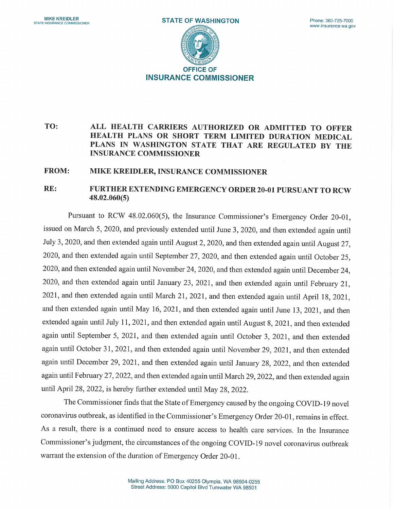

## TO: ALL HEALTH CARRIERS AUTHORIZED OR ADMITTED TO OFFER HEALTH PLANS OR SHORT TERM LIMITED DURATION MEDICAL PLANS IN WASHINGTON STATE THAT ARE REGULATED BY THE INSURANCE COMMISSIONER

## FROM: MIKE KREIDLER, INSURANCE COMMISSIONER

## RE: FURTHER EXTENDING EMERGENCY ORDER20-01 PURSUANT TO RCW 48.02.060(5)

Pursuant to RCW 48.02.060(5), the Insurance Commissioner's Emergency Order 20-01, issued on March 5, 2020, and previously extended until June 3, 2020, and then extended again until July 3, 2020, and then extended again until August 2, 2020, and then extended again until August 27, 2020, and then extended again until September 27, 2020, and then extended again until October 25, 2020, and then extended again until November 24, 2020, and then extended again until December 24, 2020, and then extended again until January 23, 2021, and then extended again until February 21, 2021, and then extended again until March 21, 2021, and then extended again until April 18, 2021, and then extended again until May 16, 2021, and then extended again until June 13, 2021, and then extended again until July 11, 2021, and then extended again until August 8, 2021, and then extended again until September 5, 2021, and then extended again until October 3, 2021, and then extended again until October 31, 2021, and then extended again until November 29, 2021, and then extended again until December 29, 2021, and then extended again until January 28, 2022, and then extended again until February 27, 2022, and then extended again until March 29, 2022, and then extended again until April 28, 2022, is hereby further extended until May 28, 2022.

The Commissioner finds that the State of Emergency caused by the ongoing COVID-19 novel coronavirus outbreak, as identified in the Commissioner's Emergency Order 20-01, remains in effect. As a result, there is a continued need to ensure access to health care services. In the Insurance Commissioner's judgment, the circumstances of the ongoing COVID-19 novel coronavirus outbreak warrant the extension of the duration of Emergency Order 20-01.